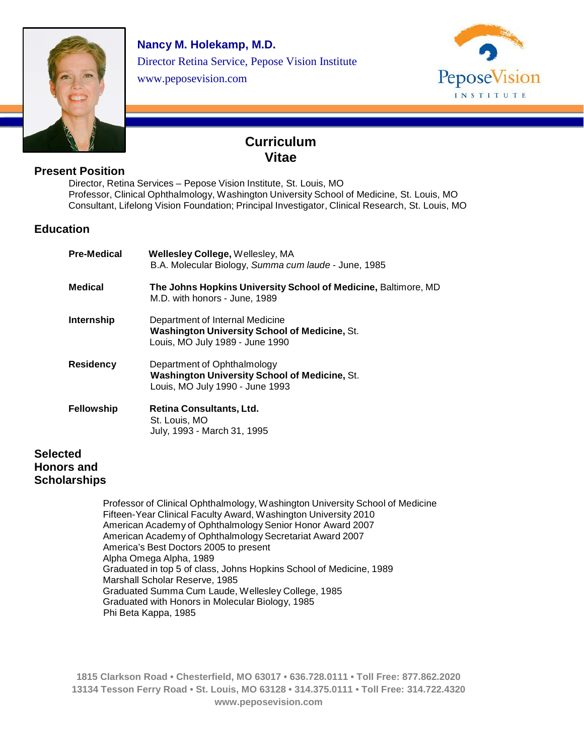

**Nancy M. Holekamp, M.D.**  Director Retina Service, Pepose Vision Institute www.peposevision.com



l

# **Curriculum Vitae**

# **Present Position**

Director, Retina Services – Pepose Vision Institute, St. Louis, MO Professor, Clinical Ophthalmology, Washington University School of Medicine, St. Louis, MO Consultant, Lifelong Vision Foundation; Principal Investigator, Clinical Research, St. Louis, MO

# **Education**

| Pre-Medical | <b>Wellesley College, Wellesley, MA</b><br>B.A. Molecular Biology, Summa cum laude - June, 1985                            |
|-------------|----------------------------------------------------------------------------------------------------------------------------|
| Medical     | The Johns Hopkins University School of Medicine, Baltimore, MD<br>M.D. with honors - June, 1989                            |
| Internship  | Department of Internal Medicine<br><b>Washington University School of Medicine, St.</b><br>Louis, MO July 1989 - June 1990 |
| Residency   | Department of Ophthalmology<br><b>Washington University School of Medicine, St.</b><br>Louis, MO July 1990 - June 1993     |
| Fellowship  | Retina Consultants, Ltd.<br>St. Louis, MO<br>July, 1993 - March 31, 1995                                                   |
| ed          |                                                                                                                            |

# **Selecte Honors and Scholarships**

Professor of Clinical Ophthalmology, Washington University School of Medicine Fifteen-Year Clinical Faculty Award, Washington University 2010 American Academy of Ophthalmology Senior Honor Award 2007 American Academy of Ophthalmology Secretariat Award 2007 America's Best Doctors 2005 to present Alpha Omega Alpha, 1989 Graduated in top 5 of class, Johns Hopkins School of Medicine, 1989 Marshall Scholar Reserve, 1985 Graduated Summa Cum Laude, Wellesley College, 1985 Graduated with Honors in Molecular Biology, 1985 Phi Beta Kappa, 1985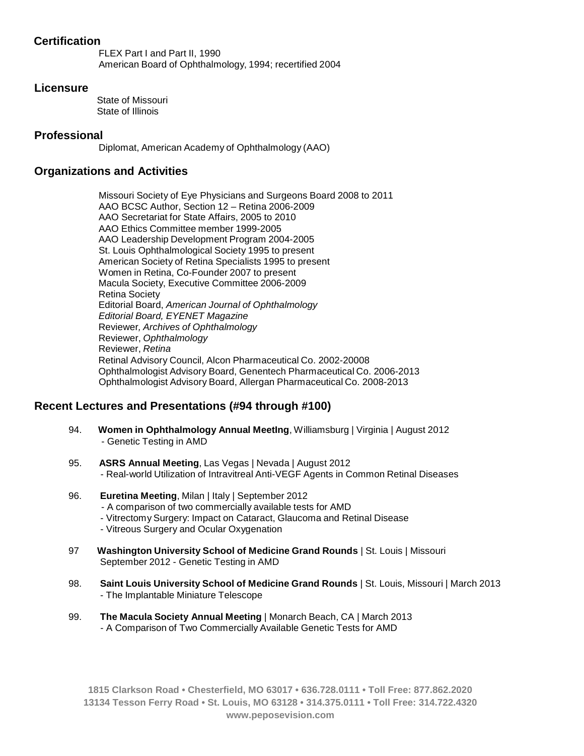# **Certification**

FLEX Part I and Part II, 1990 American Board of Ophthalmology, 1994; recertified 2004

#### **Licensure**

State of Missouri State of Illinois

### **Professional**

Diplomat, American Academy of Ophthalmology (AAO)

## **Organizations and Activities**

Missouri Society of Eye Physicians and Surgeons Board 2008 to 2011 AAO BCSC Author, Section 12 – Retina 2006-2009 AAO Secretariat for State Affairs, 2005 to 2010 AAO Ethics Committee member 1999-2005 AAO Leadership Development Program 2004-2005 St. Louis Ophthalmological Society 1995 to present American Society of Retina Specialists 1995 to present Women in Retina, Co-Founder 2007 to present Macula Society, Executive Committee 2006-2009 Retina Society Editorial Board, *American Journal of Ophthalmology Editorial Board, EYENET Magazine*  Reviewer*, Archives of Ophthalmology*  Reviewer, *Ophthalmology* Reviewer, *Retina* Retinal Advisory Council, Alcon Pharmaceutical Co. 2002-20008 Ophthalmologist Advisory Board, Genentech Pharmaceutical Co. 2006-2013 Ophthalmologist Advisory Board, Allergan Pharmaceutical Co. 2008-2013

# **Recent Lectures and Presentations (#94 through #100)**

- 94. **Women in Ophthalmology Annual MeetIng**, Williamsburg | Virginia | August 2012 - Genetic Testing in AMD
- 95. **ASRS Annual Meeting**, Las Vegas | Nevada | August 2012 - Real-world Utilization of Intravitreal Anti-VEGF Agents in Common Retinal Diseases
- 96. **Euretina Meeting**, Milan | Italy | September 2012 - A comparison of two commercially available tests for AMD - Vitrectomy Surgery: Impact on Cataract, Glaucoma and Retinal Disease - Vitreous Surgery and Ocular Oxygenation
- 97 **Washington University School of Medicine Grand Rounds** | St. Louis | Missouri September 2012 - Genetic Testing in AMD
- 98. **Saint Louis University School of Medicine Grand Rounds** | St. Louis, Missouri | March 2013 - The Implantable Miniature Telescope
- 99. **The Macula Society Annual Meeting** | Monarch Beach, CA | March 2013 - A Comparison of Two Commercially Available Genetic Tests for AMD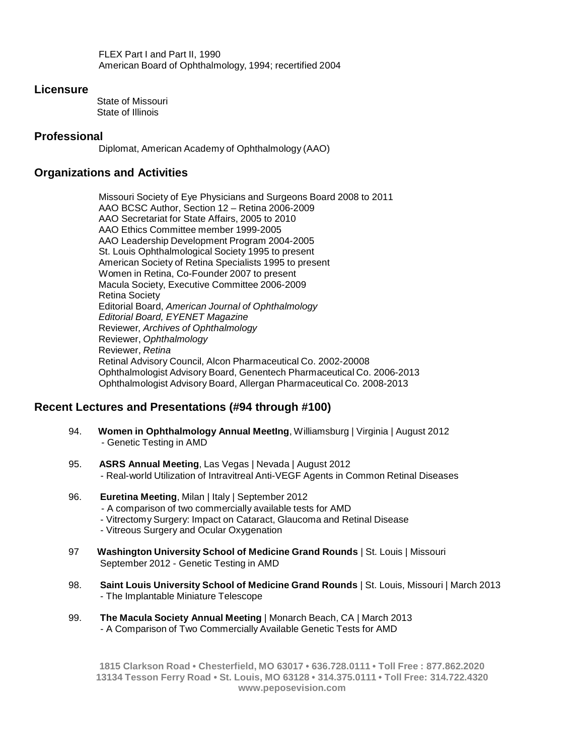FLEX Part I and Part II, 1990 American Board of Ophthalmology, 1994; recertified 2004

#### **Licensure**

State of Missouri State of Illinois

#### **Professional**

Diplomat, American Academy of Ophthalmology (AAO)

#### **Organizations and Activities**

Missouri Society of Eye Physicians and Surgeons Board 2008 to 2011 AAO BCSC Author, Section 12 – Retina 2006-2009 AAO Secretariat for State Affairs, 2005 to 2010 AAO Ethics Committee member 1999-2005 AAO Leadership Development Program 2004-2005 St. Louis Ophthalmological Society 1995 to present American Society of Retina Specialists 1995 to present Women in Retina, Co-Founder 2007 to present Macula Society, Executive Committee 2006-2009 Retina Society Editorial Board, *American Journal of Ophthalmology Editorial Board, EYENET Magazine*  Reviewer*, Archives of Ophthalmology*  Reviewer, *Ophthalmology* Reviewer, *Retina* Retinal Advisory Council, Alcon Pharmaceutical Co. 2002-20008 Ophthalmologist Advisory Board, Genentech Pharmaceutical Co. 2006-2013 Ophthalmologist Advisory Board, Allergan Pharmaceutical Co. 2008-2013

### **Recent Lectures and Presentations (#94 through #100)**

- 94. **Women in Ophthalmology Annual MeetIng**, Williamsburg | Virginia | August 2012 - Genetic Testing in AMD
- 95. **ASRS Annual Meeting**, Las Vegas | Nevada | August 2012 - Real-world Utilization of Intravitreal Anti-VEGF Agents in Common Retinal Diseases
- 96. **Euretina Meeting**, Milan | Italy | September 2012 - A comparison of two commercially available tests for AMD - Vitrectomy Surgery: Impact on Cataract, Glaucoma and Retinal Disease - Vitreous Surgery and Ocular Oxygenation
- 97 **Washington University School of Medicine Grand Rounds** | St. Louis | Missouri September 2012 - Genetic Testing in AMD
- 98. **Saint Louis University School of Medicine Grand Rounds** | St. Louis, Missouri | March 2013 - The Implantable Miniature Telescope
- 99. **The Macula Society Annual Meeting** | Monarch Beach, CA | March 2013 - A Comparison of Two Commercially Available Genetic Tests for AMD

**1815 Clarkson Road • Chesterfield, MO 63017 • 636.728.0111 • Toll Free : 877.862.2020 13134 Tesson Ferry Road • St. Louis, MO 63128 • 314.375.0111 • Toll Free: 314.722.432[0](http://www.peposevision.com/) [www.peposevision.com](http://www.peposevision.com/)**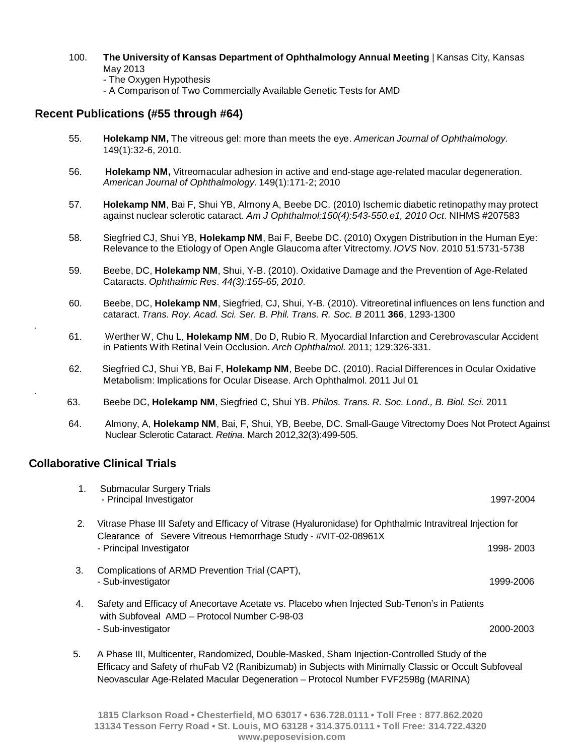- 100. **The University of Kansas Department of Ophthalmology Annual Meeting** | Kansas City, Kansas May 2013
	- The Oxygen Hypothesis
	- A Comparison of Two Commercially Available Genetic Tests for AMD

# **Recent Publications (#55 through #64)**

- 55. **Holekamp NM,** The vitreous gel: more than meets the eye. *American Journal of Ophthalmology.* 149(1):32-6, 2010.
- 56. **Holekamp NM,** Vitreomacular adhesion in active and end-stage age-related macular degeneration. *American Journal of Ophthalmology.* 149(1):171-2; 2010
- 57. **Holekamp NM**, Bai F, Shui YB, Almony A, Beebe DC. (2010) Ischemic diabetic retinopathy may protect against nuclear sclerotic cataract. *Am J Ophthalmol;150(4):543-550.e1, 2010 Oct*. NIHMS #207583
- 58. Siegfried CJ, Shui YB, **Holekamp NM**, Bai F, Beebe DC. (2010) Oxygen Distribution in the Human Eye: Relevance to the Etiology of Open Angle Glaucoma after Vitrectomy. *IOVS* Nov. 2010 51:5731-5738
- 59. Beebe, DC, **Holekamp NM**, Shui, Y-B. (2010). Oxidative Damage and the Prevention of Age-Related Cataracts. *Ophthalmic Res*. *44(3):155-65, 2010*.
- 60. Beebe, DC, **Holekamp NM**, Siegfried, CJ, Shui, Y-B. (2010). Vitreoretinal influences on lens function and cataract. *Trans. Roy. Acad. Sci. Ser. B*. *Phil. Trans. R. Soc. B* 2011 **366**, 1293-1300
- 61. Werther W, Chu L, **Holekamp NM**, Do D, Rubio R. Myocardial Infarction and Cerebrovascular Accident in Patients With Retinal Vein Occlusion. *Arch Ophthalmol.* 2011; 129:326-331.
- 62. Siegfried CJ, Shui YB, Bai F, **Holekamp NM**, Beebe DC. (2010). Racial Differences in Ocular Oxidative Metabolism: Implications for Ocular Disease. Arch Ophthalmol. 2011 Jul 01
- 63. Beebe DC, **Holekamp NM**, Siegfried C, Shui YB. *Philos. Trans. R. Soc. Lond., B. Biol. Sci.* 2011
- 64. Almony, A, **Holekamp NM**, Bai, F, Shui, YB, Beebe, DC. Small-Gauge Vitrectomy Does Not Protect Against Nuclear Sclerotic Cataract. *Retina*. March 2012,32(3):499-505.

### **Collaborative Clinical Trials**

.

.

| 1. | <b>Submacular Surgery Trials</b><br>- Principal Investigator                                                                                                                                         | 1997-2004 |
|----|------------------------------------------------------------------------------------------------------------------------------------------------------------------------------------------------------|-----------|
| 2. | Vitrase Phase III Safety and Efficacy of Vitrase (Hyaluronidase) for Ophthalmic Intravitreal Injection for<br>Clearance of Severe Vitreous Hemorrhage Study - #VIT-02-08961X                         |           |
|    | - Principal Investigator                                                                                                                                                                             | 1998-2003 |
| 3. | Complications of ARMD Prevention Trial (CAPT),<br>- Sub-investigator                                                                                                                                 | 1999-2006 |
| 4. | Safety and Efficacy of Anecortave Acetate vs. Placebo when Injected Sub-Tenon's in Patients<br>with Subfoveal AMD - Protocol Number C-98-03                                                          |           |
|    | - Sub-investigator                                                                                                                                                                                   | 2000-2003 |
| 5. | A Phase III, Multicenter, Randomized, Double-Masked, Sham Injection-Controlled Study of the<br>Efficacy and Safety of rhuFab V2 (Ranibizumab) in Subjects with Minimally Classic or Occult Subfoveal |           |

Neovascular Age-Related Macular Degeneration – Protocol Number FVF2598g (MARINA)